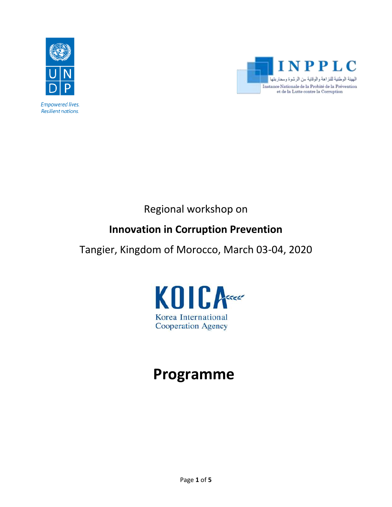



Regional workshop on

### **Innovation in Corruption Prevention**

Tangier, Kingdom of Morocco, March 03-04, 2020



# **Programme**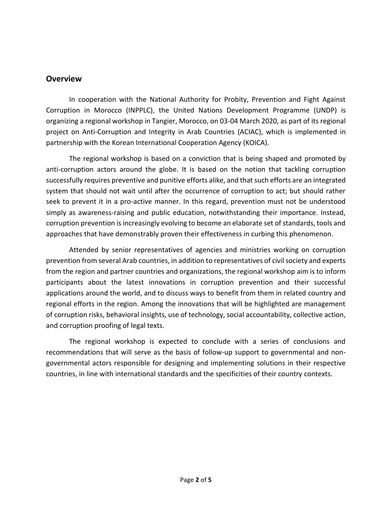#### **Overview**

In cooperation with the National Authority for Probity, Prevention and Fight Against Corruption in Morocco (INPPLC), the United Nations Development Programme (UNDP) is organizing a regional workshop in Tangier, Morocco, on 03-04 March 2020, as part of its regional project on Anti-Corruption and Integrity in Arab Countries (ACIAC), which is implemented in partnership with the Korean International Cooperation Agency (KOICA).

The regional workshop is based on a conviction that is being shaped and promoted by anti-corruption actors around the globe. It is based on the notion that tackling corruption successfully requires preventive and punitive efforts alike, and that such efforts are an integrated system that should not wait until after the occurrence of corruption to act; but should rather seek to prevent it in a pro-active manner. In this regard, prevention must not be understood simply as awareness-raising and public education, notwithstanding their importance. Instead, corruption prevention is increasingly evolving to become an elaborate set of standards, tools and approaches that have demonstrably proven their effectiveness in curbing this phenomenon.

Attended by senior representatives of agencies and ministries working on corruption prevention from several Arab countries, in addition to representatives of civil society and experts from the region and partner countries and organizations, the regional workshop aim is to inform participants about the latest innovations in corruption prevention and their successful applications around the world, and to discuss ways to benefit from them in related country and regional efforts in the region. Among the innovations that will be highlighted are management of corruption risks, behavioral insights, use of technology, social accountability, collective action, and corruption proofing of legal texts.

The regional workshop is expected to conclude with a series of conclusions and recommendations that will serve as the basis of follow-up support to governmental and nongovernmental actors responsible for designing and implementing solutions in their respective countries, in line with international standards and the specificities of their country contexts.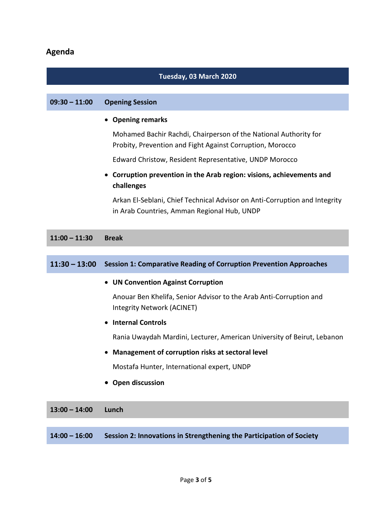### **Agenda**

## **Tuesday, 03 March 2020 09:30 – 11:00 Opening Session**  • **Opening remarks**  Mohamed Bachir Rachdi, Chairperson of the National Authority for Probity, Prevention and Fight Against Corruption, Morocco Edward Christow, Resident Representative, UNDP Morocco • **Corruption prevention in the Arab region: visions, achievements and challenges** Arkan El-Seblani, Chief Technical Advisor on Anti-Corruption and Integrity in Arab Countries, Amman Regional Hub, UNDP **11:00 – 11:30 Break 11:30 – 13:00 Session 1: Comparative Reading of Corruption Prevention Approaches** • **UN Convention Against Corruption** Anouar Ben Khelifa, Senior Advisor to the Arab Anti-Corruption and Integrity Network (ACINET) • **Internal Controls** Rania Uwaydah Mardini, Lecturer, American University of Beirut, Lebanon • **Management of corruption risks at sectoral level**  Mostafa Hunter, International expert, UNDP • **Open discussion 13:00 – 14:00 Lunch**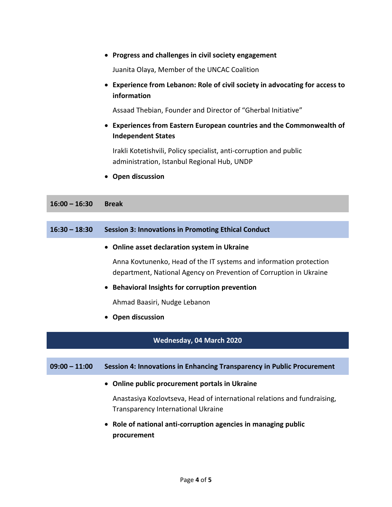|                 | Progress and challenges in civil society engagement                                                                                      |
|-----------------|------------------------------------------------------------------------------------------------------------------------------------------|
|                 | Juanita Olaya, Member of the UNCAC Coalition                                                                                             |
|                 | Experience from Lebanon: Role of civil society in advocating for access to<br>information                                                |
|                 | Assaad Thebian, Founder and Director of "Gherbal Initiative"                                                                             |
|                 | <b>Experiences from Eastern European countries and the Commonwealth of</b><br>$\bullet$<br><b>Independent States</b>                     |
|                 | Irakli Kotetishvili, Policy specialist, anti-corruption and public<br>administration, Istanbul Regional Hub, UNDP                        |
|                 | <b>Open discussion</b>                                                                                                                   |
| $16:00 - 16:30$ | <b>Break</b>                                                                                                                             |
|                 |                                                                                                                                          |
| $16:30 - 18:30$ | <b>Session 3: Innovations in Promoting Ethical Conduct</b>                                                                               |
|                 | Online asset declaration system in Ukraine                                                                                               |
|                 | Anna Kovtunenko, Head of the IT systems and information protection<br>department, National Agency on Prevention of Corruption in Ukraine |
|                 | <b>Behavioral Insights for corruption prevention</b>                                                                                     |
|                 | Ahmad Baasiri, Nudge Lebanon                                                                                                             |
|                 | Open discussion                                                                                                                          |
|                 | Wednesday, 04 March 2020                                                                                                                 |
| $09:00 - 11:00$ | Session 4: Innovations in Enhancing Transparency in Public Procurement                                                                   |
|                 |                                                                                                                                          |
|                 | Online public procurement portals in Ukraine                                                                                             |
|                 | Anastasiya Kozlovtseva, Head of international relations and fundraising,<br><b>Transparency International Ukraine</b>                    |
|                 | Role of national anti-corruption agencies in managing public<br>procurement                                                              |
|                 |                                                                                                                                          |